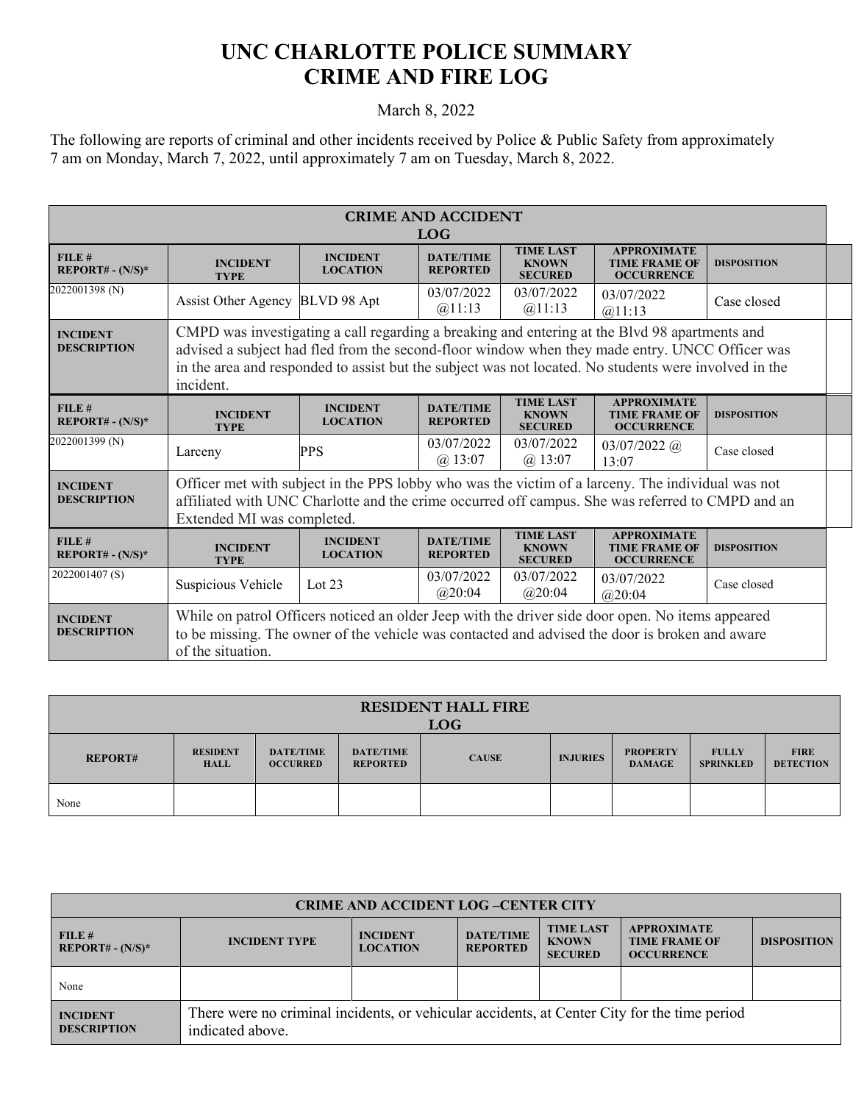## **UNC CHARLOTTE POLICE SUMMARY CRIME AND FIRE LOG**

## March 8, 2022

The following are reports of criminal and other incidents received by Police & Public Safety from approximately 7 am on Monday, March 7, 2022, until approximately 7 am on Tuesday, March 8, 2022.

| <b>CRIME AND ACCIDENT</b><br><b>LOG</b> |                                                                                                                                                                                                                                                                                                                       |                                    |                                     |                                                    |                                                                 |                    |
|-----------------------------------------|-----------------------------------------------------------------------------------------------------------------------------------------------------------------------------------------------------------------------------------------------------------------------------------------------------------------------|------------------------------------|-------------------------------------|----------------------------------------------------|-----------------------------------------------------------------|--------------------|
| FILE#<br>$REPORT# - (N/S)*$             | <b>INCIDENT</b><br><b>TYPE</b>                                                                                                                                                                                                                                                                                        | <b>INCIDENT</b><br><b>LOCATION</b> | <b>DATE/TIME</b><br><b>REPORTED</b> | <b>TIME LAST</b><br><b>KNOWN</b><br><b>SECURED</b> | <b>APPROXIMATE</b><br><b>TIME FRAME OF</b><br><b>OCCURRENCE</b> | <b>DISPOSITION</b> |
| 2022001398 (N)                          | <b>Assist Other Agency</b>                                                                                                                                                                                                                                                                                            | BLVD 98 Apt                        | 03/07/2022<br>@11:13                | 03/07/2022<br>@11:13                               | 03/07/2022<br>@11:13                                            | Case closed        |
| <b>INCIDENT</b><br><b>DESCRIPTION</b>   | CMPD was investigating a call regarding a breaking and entering at the Blvd 98 apartments and<br>advised a subject had fled from the second-floor window when they made entry. UNCC Officer was<br>in the area and responded to assist but the subject was not located. No students were involved in the<br>incident. |                                    |                                     |                                                    |                                                                 |                    |
| $FILE$ #<br>$REPORT# - (N/S)*$          | <b>INCIDENT</b><br><b>TYPE</b>                                                                                                                                                                                                                                                                                        | <b>INCIDENT</b><br><b>LOCATION</b> | <b>DATE/TIME</b><br><b>REPORTED</b> | <b>TIME LAST</b><br><b>KNOWN</b><br><b>SECURED</b> | <b>APPROXIMATE</b><br><b>TIME FRAME OF</b><br><b>OCCURRENCE</b> | <b>DISPOSITION</b> |
| 2022001399 (N)                          | Larceny                                                                                                                                                                                                                                                                                                               | PPS                                | 03/07/2022<br>@13:07                | 03/07/2022<br>$(a)$ 13:07                          | $03/07/2022$ (a)<br>13:07                                       | Case closed        |
| <b>INCIDENT</b><br><b>DESCRIPTION</b>   | Officer met with subject in the PPS lobby who was the victim of a larceny. The individual was not<br>affiliated with UNC Charlotte and the crime occurred off campus. She was referred to CMPD and an<br>Extended MI was completed.                                                                                   |                                    |                                     |                                                    |                                                                 |                    |
| FILE#<br>$REPORT# - (N/S)*$             | <b>INCIDENT</b><br><b>TYPE</b>                                                                                                                                                                                                                                                                                        | <b>INCIDENT</b><br><b>LOCATION</b> | <b>DATE/TIME</b><br><b>REPORTED</b> | <b>TIME LAST</b><br><b>KNOWN</b><br><b>SECURED</b> | <b>APPROXIMATE</b><br><b>TIME FRAME OF</b><br><b>OCCURRENCE</b> | <b>DISPOSITION</b> |
| 2022001407(S)                           | Suspicious Vehicle                                                                                                                                                                                                                                                                                                    | Lot $23$                           | 03/07/2022<br>@20:04                | 03/07/2022<br>@20:04                               | 03/07/2022<br>@20:04                                            | Case closed        |
| <b>INCIDENT</b><br><b>DESCRIPTION</b>   | While on patrol Officers noticed an older Jeep with the driver side door open. No items appeared<br>to be missing. The owner of the vehicle was contacted and advised the door is broken and aware<br>of the situation.                                                                                               |                                    |                                     |                                                    |                                                                 |                    |

| <b>RESIDENT HALL FIRE</b><br><b>LOG</b> |                                |                                     |                                     |              |                 |                                  |                                  |                                 |
|-----------------------------------------|--------------------------------|-------------------------------------|-------------------------------------|--------------|-----------------|----------------------------------|----------------------------------|---------------------------------|
| <b>REPORT#</b>                          | <b>RESIDENT</b><br><b>HALL</b> | <b>DATE/TIME</b><br><b>OCCURRED</b> | <b>DATE/TIME</b><br><b>REPORTED</b> | <b>CAUSE</b> | <b>INJURIES</b> | <b>PROPERTY</b><br><b>DAMAGE</b> | <b>FULLY</b><br><b>SPRINKLED</b> | <b>FIRE</b><br><b>DETECTION</b> |
| None                                    |                                |                                     |                                     |              |                 |                                  |                                  |                                 |

| <b>CRIME AND ACCIDENT LOG-CENTER CITY</b> |                                                                                                                  |                                    |                                     |                                                    |                                                                 |                    |  |
|-------------------------------------------|------------------------------------------------------------------------------------------------------------------|------------------------------------|-------------------------------------|----------------------------------------------------|-----------------------------------------------------------------|--------------------|--|
| FILE #<br>$REPORT# - (N/S)*$              | <b>INCIDENT TYPE</b>                                                                                             | <b>INCIDENT</b><br><b>LOCATION</b> | <b>DATE/TIME</b><br><b>REPORTED</b> | <b>TIME LAST</b><br><b>KNOWN</b><br><b>SECURED</b> | <b>APPROXIMATE</b><br><b>TIME FRAME OF</b><br><b>OCCURRENCE</b> | <b>DISPOSITION</b> |  |
| None                                      |                                                                                                                  |                                    |                                     |                                                    |                                                                 |                    |  |
| <b>INCIDENT</b><br><b>DESCRIPTION</b>     | There were no criminal incidents, or vehicular accidents, at Center City for the time period<br>indicated above. |                                    |                                     |                                                    |                                                                 |                    |  |